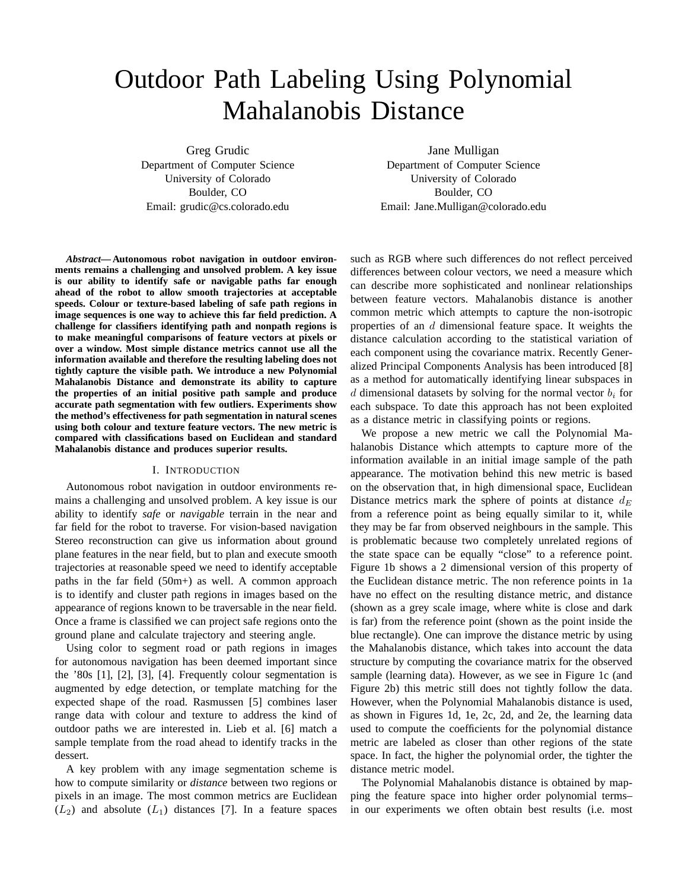# Outdoor Path Labeling Using Polynomial Mahalanobis Distance

Greg Grudic Department of Computer Science University of Colorado Boulder, CO Email: grudic@cs.colorado.edu

Jane Mulligan

Department of Computer Science University of Colorado Boulder, CO Email: Jane.Mulligan@colorado.edu

*Abstract***— Autonomous robot navigation in outdoor environments remains a challenging and unsolved problem. A key issue is our ability to identify safe or navigable paths far enough ahead of the robot to allow smooth trajectories at acceptable speeds. Colour or texture-based labeling of safe path regions in image sequences is one way to achieve this far field prediction. A challenge for classifiers identifying path and nonpath regions is to make meaningful comparisons of feature vectors at pixels or over a window. Most simple distance metrics cannot use all the information available and therefore the resulting labeling does not tightly capture the visible path. We introduce a new Polynomial Mahalanobis Distance and demonstrate its ability to capture the properties of an initial positive path sample and produce accurate path segmentation with few outliers. Experiments show the method's effectiveness for path segmentation in natural scenes using both colour and texture feature vectors. The new metric is compared with classifications based on Euclidean and standard Mahalanobis distance and produces superior results.**

# I. INTRODUCTION

Autonomous robot navigation in outdoor environments remains a challenging and unsolved problem. A key issue is our ability to identify *safe* or *navigable* terrain in the near and far field for the robot to traverse. For vision-based navigation Stereo reconstruction can give us information about ground plane features in the near field, but to plan and execute smooth trajectories at reasonable speed we need to identify acceptable paths in the far field (50m+) as well. A common approach is to identify and cluster path regions in images based on the appearance of regions known to be traversable in the near field. Once a frame is classified we can project safe regions onto the ground plane and calculate trajectory and steering angle.

Using color to segment road or path regions in images for autonomous navigation has been deemed important since the '80s [1], [2], [3], [4]. Frequently colour segmentation is augmented by edge detection, or template matching for the expected shape of the road. Rasmussen [5] combines laser range data with colour and texture to address the kind of outdoor paths we are interested in. Lieb et al. [6] match a sample template from the road ahead to identify tracks in the dessert.

A key problem with any image segmentation scheme is how to compute similarity or *distance* between two regions or pixels in an image. The most common metrics are Euclidean  $(L_2)$  and absolute  $(L_1)$  distances [7]. In a feature spaces such as RGB where such differences do not reflect perceived differences between colour vectors, we need a measure which can describe more sophisticated and nonlinear relationships between feature vectors. Mahalanobis distance is another common metric which attempts to capture the non-isotropic properties of an d dimensional feature space. It weights the distance calculation according to the statistical variation of each component using the covariance matrix. Recently Generalized Principal Components Analysis has been introduced [8] as a method for automatically identifying linear subspaces in d dimensional datasets by solving for the normal vector  $b_i$  for each subspace. To date this approach has not been exploited as a distance metric in classifying points or regions.

We propose a new metric we call the Polynomial Mahalanobis Distance which attempts to capture more of the information available in an initial image sample of the path appearance. The motivation behind this new metric is based on the observation that, in high dimensional space, Euclidean Distance metrics mark the sphere of points at distance  $d_E$ from a reference point as being equally similar to it, while they may be far from observed neighbours in the sample. This is problematic because two completely unrelated regions of the state space can be equally "close" to a reference point. Figure 1b shows a 2 dimensional version of this property of the Euclidean distance metric. The non reference points in 1a have no effect on the resulting distance metric, and distance (shown as a grey scale image, where white is close and dark is far) from the reference point (shown as the point inside the blue rectangle). One can improve the distance metric by using the Mahalanobis distance, which takes into account the data structure by computing the covariance matrix for the observed sample (learning data). However, as we see in Figure 1c (and Figure 2b) this metric still does not tightly follow the data. However, when the Polynomial Mahalanobis distance is used, as shown in Figures 1d, 1e, 2c, 2d, and 2e, the learning data used to compute the coefficients for the polynomial distance metric are labeled as closer than other regions of the state space. In fact, the higher the polynomial order, the tighter the distance metric model.

The Polynomial Mahalanobis distance is obtained by mapping the feature space into higher order polynomial terms– in our experiments we often obtain best results (i.e. most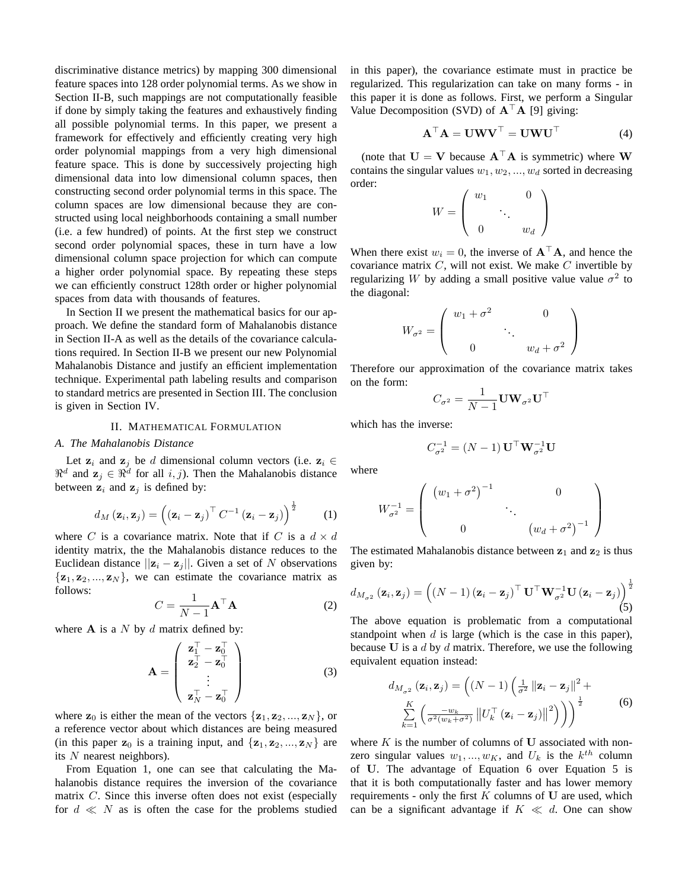discriminative distance metrics) by mapping 300 dimensional feature spaces into 128 order polynomial terms. As we show in Section II-B, such mappings are not computationally feasible if done by simply taking the features and exhaustively finding all possible polynomial terms. In this paper, we present a framework for effectively and efficiently creating very high order polynomial mappings from a very high dimensional feature space. This is done by successively projecting high dimensional data into low dimensional column spaces, then constructing second order polynomial terms in this space. The column spaces are low dimensional because they are constructed using local neighborhoods containing a small number (i.e. a few hundred) of points. At the first step we construct second order polynomial spaces, these in turn have a low dimensional column space projection for which can compute a higher order polynomial space. By repeating these steps we can efficiently construct 128th order or higher polynomial spaces from data with thousands of features.

In Section II we present the mathematical basics for our approach. We define the standard form of Mahalanobis distance in Section II-A as well as the details of the covariance calculations required. In Section II-B we present our new Polynomial Mahalanobis Distance and justify an efficient implementation technique. Experimental path labeling results and comparison to standard metrics are presented in Section III. The conclusion is given in Section IV.

# II. MATHEMATICAL FORMULATION

# *A. The Mahalanobis Distance*

Let  $z_i$  and  $z_j$  be d dimensional column vectors (i.e.  $z_i \in$  $\Re^d$  and  $\mathbf{z}_j \in \Re^d$  for all  $i, j$ ). Then the Mahalanobis distance between  $z_i$  and  $z_j$  is defined by:

$$
d_M\left(\mathbf{z}_i,\mathbf{z}_j\right) = \left(\left(\mathbf{z}_i-\mathbf{z}_j\right)^\top C^{-1}\left(\mathbf{z}_i-\mathbf{z}_j\right)\right)^{\frac{1}{2}}\tag{1}
$$

where C is a covariance matrix. Note that if C is a  $d \times d$ identity matrix, the the Mahalanobis distance reduces to the Euclidean distance  $||\mathbf{z}_i - \mathbf{z}_j||$ . Given a set of N observations  $\{z_1, z_2, ..., z_N\}$ , we can estimate the covariance matrix as follows:

$$
C = \frac{1}{N-1} \mathbf{A}^\top \mathbf{A}
$$
 (2)

where  $A$  is a  $N$  by  $d$  matrix defined by:

$$
\mathbf{A} = \begin{pmatrix} \mathbf{z}_1^\top - \mathbf{z}_0^\top \\ \mathbf{z}_2^\top - \mathbf{z}_0^\top \\ \vdots \\ \mathbf{z}_N^\top - \mathbf{z}_0^\top \end{pmatrix}
$$
(3)

where  $z_0$  is either the mean of the vectors  $\{z_1, z_2, ..., z_N\}$ , or a reference vector about which distances are being measured (in this paper  $z_0$  is a training input, and  $\{z_1, z_2, ..., z_N\}$  are its  $N$  nearest neighbors).

From Equation 1, one can see that calculating the Mahalanobis distance requires the inversion of the covariance matrix C. Since this inverse often does not exist (especially for  $d \ll N$  as is often the case for the problems studied in this paper), the covariance estimate must in practice be regularized. This regularization can take on many forms - in this paper it is done as follows. First, we perform a Singular Value Decomposition (SVD) of  $A^{\top}A$  [9] giving:

$$
\mathbf{A}^{\top} \mathbf{A} = \mathbf{U} \mathbf{W} \mathbf{V}^{\top} = \mathbf{U} \mathbf{W} \mathbf{U}^{\top}
$$
 (4)

(note that  $U = V$  because  $A^{\top}A$  is symmetric) where W contains the singular values  $w_1, w_2, ..., w_d$  sorted in decreasing order:  $\overline{\phantom{a}}$  $\mathbf{r}$ 

$$
W = \left(\begin{array}{ccc} w_1 & & 0 \\ & \ddots & \\ 0 & & w_d \end{array}\right)
$$

When there exist  $w_i = 0$ , the inverse of  $A^{\top}A$ , and hence the covariance matrix  $C$ , will not exist. We make  $C$  invertible by regularizing W by adding a small positive value value  $\sigma^2$  to the diagonal:

$$
W_{\sigma^2} = \begin{pmatrix} w_1 + \sigma^2 & 0 \\ & \ddots & \\ 0 & & w_d + \sigma^2 \end{pmatrix}
$$

Therefore our approximation of the covariance matrix takes on the form:

$$
C_{\sigma^2} = \frac{1}{N-1} \mathbf{U} \mathbf{W}_{\sigma^2} \mathbf{U}^\top
$$

which has the inverse:

$$
C_{\sigma^2}^{-1} = (N-1) \mathbf{U}^\top \mathbf{W}_{\sigma^2}^{-1} \mathbf{U}
$$

where

$$
W_{\sigma^2}^{-1} = \left( \begin{array}{ccc} \left( w_1 + \sigma^2 \right)^{-1} & & 0 \\ & \ddots & \\ 0 & & \left( w_d + \sigma^2 \right)^{-1} \end{array} \right)
$$

The estimated Mahalanobis distance between  $z_1$  and  $z_2$  is thus given by:

$$
d_{M_{\sigma^2}}(\mathbf{z}_i, \mathbf{z}_j) = \left( (N-1) \left( \mathbf{z}_i - \mathbf{z}_j \right)^{\top} \mathbf{U}^{\top} \mathbf{W}_{\sigma^2}^{-1} \mathbf{U} \left( \mathbf{z}_i - \mathbf{z}_j \right) \right)^{\frac{1}{2}}
$$
(5)

The above equation is problematic from a computational standpoint when  $d$  is large (which is the case in this paper), because  $U$  is a  $d$  by  $d$  matrix. Therefore, we use the following equivalent equation instead:

$$
d_{M_{\sigma^2}}(\mathbf{z}_i, \mathbf{z}_j) = \left( (N-1) \left( \frac{1}{\sigma^2} ||\mathbf{z}_i - \mathbf{z}_j||^2 + \sum_{k=1}^K \left( \frac{-w_k}{\sigma^2 (w_k + \sigma^2)} ||U_k^\top (\mathbf{z}_i - \mathbf{z}_j)||^2 \right) \right) \right)^{\frac{1}{2}}
$$
(6)

where  $K$  is the number of columns of  $U$  associated with nonzero singular values  $w_1, ..., w_K$ , and  $U_k$  is the  $k^{th}$  column of U. The advantage of Equation 6 over Equation 5 is that it is both computationally faster and has lower memory requirements - only the first  $K$  columns of  $U$  are used, which can be a significant advantage if  $K \ll d$ . One can show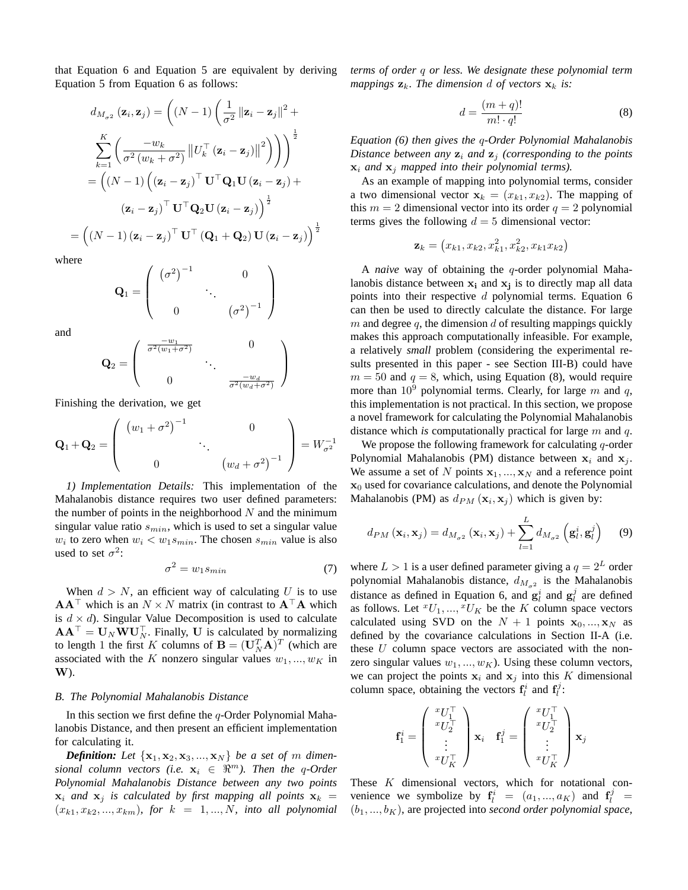that Equation 6 and Equation 5 are equivalent by deriving Equation 5 from Equation 6 as follows:

$$
d_{M_{\sigma^2}}(\mathbf{z}_i, \mathbf{z}_j) = \left( (N-1) \left( \frac{1}{\sigma^2} ||\mathbf{z}_i - \mathbf{z}_j||^2 + \frac{1}{\sigma^2 (w_k + \sigma^2)} ||U_k^{\top}(\mathbf{z}_i - \mathbf{z}_j)||^2 \right) \right)^{\frac{1}{2}}
$$

$$
= \left( (N-1) \left( (\mathbf{z}_i - \mathbf{z}_j)^{\top} \mathbf{U}^{\top} \mathbf{Q}_1 \mathbf{U} (\mathbf{z}_i - \mathbf{z}_j) + (\mathbf{z}_i - \mathbf{z}_j)^{\top} \mathbf{U}^{\top} \mathbf{Q}_2 \mathbf{U} (\mathbf{z}_i - \mathbf{z}_j) \right)^{\frac{1}{2}}
$$

$$
= \left( (N-1) (\mathbf{z}_i - \mathbf{z}_j)^{\top} \mathbf{U}^{\top} (\mathbf{Q}_1 + \mathbf{Q}_2) \mathbf{U} (\mathbf{z}_i - \mathbf{z}_j) \right)^{\frac{1}{2}}
$$

where

$$
\mathbf{Q}_1 = \left( \begin{array}{ccc} \left(\sigma^2\right)^{-1} & & 0 \\ & \ddots & \\ 0 & & \left(\sigma^2\right)^{-1} \end{array} \right)
$$

and

$$
\mathbf{Q}_2 = \left(\begin{array}{ccc} \frac{-w_1}{\sigma^2(w_1 + \sigma^2)} & & 0 \\ & \ddots & \\ 0 & & \frac{-w_d}{\sigma^2(w_d + \sigma^2)} \end{array}\right)
$$

Finishing the derivation, we get

$$
\mathbf{Q}_1 + \mathbf{Q}_2 = \begin{pmatrix} (w_1 + \sigma^2)^{-1} & 0 \\ 0 & \ddots & 0 \\ 0 & (w_d + \sigma^2)^{-1} \end{pmatrix} = W_{\sigma^2}^{-1}
$$

*1) Implementation Details:* This implementation of the Mahalanobis distance requires two user defined parameters: the number of points in the neighborhood  $N$  and the minimum singular value ratio  $s_{min}$ , which is used to set a singular value  $w_i$  to zero when  $w_i < w_1 s_{min}$ . The chosen  $s_{min}$  value is also used to set  $\sigma^2$ :

$$
\sigma^2 = w_1 s_{min} \tag{7}
$$

When  $d > N$ , an efficient way of calculating U is to use  $AA^{\top}$  which is an  $N \times N$  matrix (in contrast to  $A^{\top}A$  which is  $d \times d$ ). Singular Value Decomposition is used to calculate  $AA^{\top} = U_N W U_N^{\top}$ . Finally, U is calculated by normalizing to length 1 the first K columns of  $\mathbf{B} = (\mathbf{U}_N^T \mathbf{A})^T$  (which are associated with the K nonzero singular values  $w_1, ..., w_K$  in W).

# *B. The Polynomial Mahalanobis Distance*

In this section we first define the  $q$ -Order Polynomial Mahalanobis Distance, and then present an efficient implementation for calculating it.

*Definition:* Let  $\{x_1, x_2, x_3, ..., x_N\}$  be a set of m dimen*sional column vectors (i.e.*  $x_i \in \mathbb{R}^m$ ). Then the q-Order *Polynomial Mahalanobis Distance between any two points*  $x_i$  *and*  $x_j$  *is calculated by first mapping all points*  $x_k$  =  $(x_{k1}, x_{k2}, ..., x_{km})$ , for  $k = 1, ..., N$ , into all polynomial *terms of order* q *or less. We designate these polynomial term mappings*  $\mathbf{z}_k$ *. The dimension d of vectors*  $\mathbf{x}_k$  *is:* 

$$
d = \frac{(m+q)!}{m! \cdot q!} \tag{8}
$$

*Equation (6) then gives the* q*-Order Polynomial Mahalanobis Distance between any*  $z_i$  *and*  $z_j$  *(corresponding to the points*  $x_i$  *and*  $x_j$  *mapped into their polynomial terms).* 

As an example of mapping into polynomial terms, consider a two dimensional vector  $x_k = (x_{k1}, x_{k2})$ . The mapping of this  $m = 2$  dimensional vector into its order  $q = 2$  polynomial terms gives the following  $d = 5$  dimensional vector:

$$
\mathbf{z}_k = (x_{k1}, x_{k2}, x_{k1}^2, x_{k2}^2, x_{k1}x_{k2})
$$

A *naive* way of obtaining the q-order polynomial Mahalanobis distance between  $x_i$  and  $x_j$  is to directly map all data points into their respective  $d$  polynomial terms. Equation 6 can then be used to directly calculate the distance. For large m and degree q, the dimension  $d$  of resulting mappings quickly makes this approach computationally infeasible. For example, a relatively *small* problem (considering the experimental results presented in this paper - see Section III-B) could have  $m = 50$  and  $q = 8$ , which, using Equation (8), would require more than  $10^9$  polynomial terms. Clearly, for large m and q, this implementation is not practical. In this section, we propose a novel framework for calculating the Polynomial Mahalanobis distance which *is* computationally practical for large m and q.

We propose the following framework for calculating  $q$ -order Polynomial Mahalanobis (PM) distance between  $x_i$  and  $x_j$ . We assume a set of N points  $x_1, ..., x_N$  and a reference point  $x<sub>0</sub>$  used for covariance calculations, and denote the Polynomial Mahalanobis (PM) as  $d_{PM}(\mathbf{x}_i, \mathbf{x}_j)$  which is given by:

$$
d_{PM}\left(\mathbf{x}_i, \mathbf{x}_j\right) = d_{M_{\sigma^2}}\left(\mathbf{x}_i, \mathbf{x}_j\right) + \sum_{l=1}^{L} d_{M_{\sigma^2}}\left(\mathbf{g}_l^i, \mathbf{g}_l^j\right) \tag{9}
$$

where  $L > 1$  is a user defined parameter giving a  $q = 2^L$  order polynomial Mahalanobis distance,  $d_{M_{\sigma^2}}$  is the Mahalanobis distance as defined in Equation 6, and  $g_l^i$  and  $g_l^j$  are defined as follows. Let  ${}^xU_1, ..., {}^xU_K$  be the K column space vectors calculated using SVD on the  $N + 1$  points  $x_0, ..., x_N$  as defined by the covariance calculations in Section II-A (i.e. these  $U$  column space vectors are associated with the nonzero singular values  $w_1, ..., w_K$ ). Using these column vectors, we can project the points  $x_i$  and  $x_j$  into this K dimensional column space, obtaining the vectors  $f_l^i$  and  $f_l^j$ :

$$
\mathbf{f}_1^i = \left( \begin{array}{c} {^xU}_1^\top \\ {^xU}_2^\top \\ \vdots \\ {^xU}_K^\top \end{array} \right) \mathbf{x}_i \quad \mathbf{f}_1^j = \left( \begin{array}{c} {^xU}_1^\top \\ {^xU}_2^\top \\ \vdots \\ {^xU}_K^\top \end{array} \right) \mathbf{x}_j
$$

These K dimensional vectors, which for notational convenience we symbolize by  $f_l^i = (a_1, ..., a_K)$  and  $f_l^j =$  $(b_1, ..., b_K)$ , are projected into *second order polynomial space*,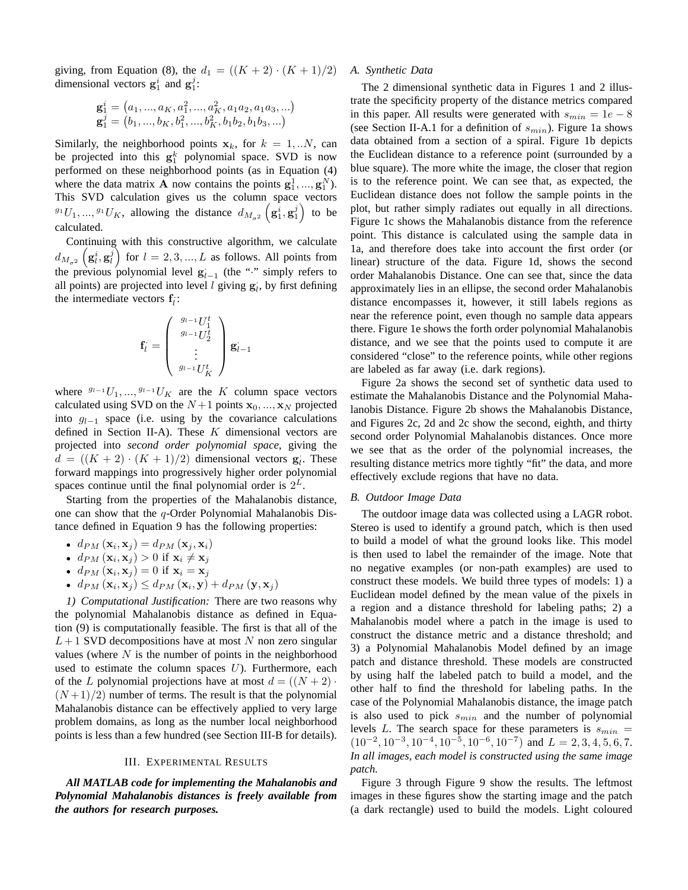giving, from Equation (8), the  $d_1 = ((K + 2) \cdot (K + 1)/2)$ dimensional vectors  $\mathbf{g}_1^i$  and  $\mathbf{g}_1^j$ :

$$
\mathbf{g}_1^i = \left( a_1, ..., a_K, a_1^2, ..., a_K^2, a_1 a_2, a_1 a_3, ... \right) \\ \mathbf{g}_1^j = \left( b_1, ..., b_K, b_1^2, ..., b_K^2, b_1 b_2, b_1 b_3, ... \right)
$$

Similarly, the neighborhood points  $x_k$ , for  $k = 1, ...N$ , can be projected into this  $g_1^k$  polynomial space. SVD is now performed on these neighborhood points (as in Equation (4) where the data matrix **A** now contains the points  $g_1^1, ..., g_1^N$ . This SVD calculation gives us the column space vectors  $g_1U_1, ..., g_1U_K$ , allowing the distance  $d_{M_{\sigma^2}}\left(g_1^i, g_1^j\right)$  to be calculated.

Continuing with this constructive algorithm, we calculate  $d_{M_{\sigma^2}}\left(\mathbf{g}_l^i,\mathbf{g}_l^j\right)$  for  $l=2,3,...,L$  as follows. All points from the previous polynomial level  $g_{l-1}$  (the "·" simply refers to all points) are projected into level  $l$  giving  $g_l$ , by first defining the intermediate vectors  $f_i$ :

$$
\mathbf{f}_l = \left(\begin{array}{c}g_{l-1}U_1^t\\g_{l-1}U_2^t\\\vdots\\g_{l-1}U_K^t\end{array}\right)\mathbf{g}_{l-1}
$$

where  $g_{l-1}U_1, ..., g_{l-1}U_K$  are the K column space vectors calculated using SVD on the  $N+1$  points  $x_0, ..., x_N$  projected into  $g_{l-1}$  space (i.e. using by the covariance calculations defined in Section II-A). These  $K$  dimensional vectors are projected into *second order polynomial space*, giving the  $d = ((K + 2) \cdot (K + 1)/2)$  dimensional vectors  $g_i$ . These forward mappings into progressively higher order polynomial spaces continue until the final polynomial order is  $2^L$ .

Starting from the properties of the Mahalanobis distance, one can show that the q-Order Polynomial Mahalanobis Distance defined in Equation 9 has the following properties:

- $d_{PM}(\mathbf{x}_i, \mathbf{x}_j) = d_{PM}(\mathbf{x}_j, \mathbf{x}_i)$
- $d_{PM}(\mathbf{x}_i, \mathbf{x}_j) > 0$  if  $\mathbf{x}_i \neq \mathbf{x}_j$
- $d_{PM}(\mathbf{x}_i, \mathbf{x}_j) = 0$  if  $\mathbf{x}_i = \mathbf{x}_j$
- $d_{PM}(\mathbf{x}_i, \mathbf{x}_j) \leq d_{PM}(\mathbf{x}_i, \mathbf{y}) + d_{PM}(\mathbf{y}, \mathbf{x}_j)$

*1) Computational Justification:* There are two reasons why the polynomial Mahalanobis distance as defined in Equation (9) is computationally feasible. The first is that all of the  $L+1$  SVD decompositions have at most N non zero singular values (where  $N$  is the number of points in the neighborhood used to estimate the column spaces  $U$ ). Furthermore, each of the L polynomial projections have at most  $d = ((N + 2) \cdot$  $(N+1)/2$ ) number of terms. The result is that the polynomial Mahalanobis distance can be effectively applied to very large problem domains, as long as the number local neighborhood points is less than a few hundred (see Section III-B for details).

#### III. EXPERIMENTAL RESULTS

*All MATLAB code for implementing the Mahalanobis and Polynomial Mahalanobis distances is freely available from the authors for research purposes.*

# *A. Synthetic Data*

The 2 dimensional synthetic data in Figures 1 and 2 illustrate the specificity property of the distance metrics compared in this paper. All results were generated with  $s_{min} = 1e - 8$ (see Section II-A.1 for a definition of  $s_{min}$ ). Figure 1a shows data obtained from a section of a spiral. Figure 1b depicts the Euclidean distance to a reference point (surrounded by a blue square). The more white the image, the closer that region is to the reference point. We can see that, as expected, the Euclidean distance does not follow the sample points in the plot, but rather simply radiates out equally in all directions. Figure 1c shows the Mahalanobis distance from the reference point. This distance is calculated using the sample data in 1a, and therefore does take into account the first order (or linear) structure of the data. Figure 1d, shows the second order Mahalanobis Distance. One can see that, since the data approximately lies in an ellipse, the second order Mahalanobis distance encompasses it, however, it still labels regions as near the reference point, even though no sample data appears there. Figure 1e shows the forth order polynomial Mahalanobis distance, and we see that the points used to compute it are considered "close" to the reference points, while other regions are labeled as far away (i.e. dark regions).

Figure 2a shows the second set of synthetic data used to estimate the Mahalanobis Distance and the Polynomial Mahalanobis Distance. Figure 2b shows the Mahalanobis Distance, and Figures 2c, 2d and 2c show the second, eighth, and thirty second order Polynomial Mahalanobis distances. Once more we see that as the order of the polynomial increases, the resulting distance metrics more tightly "fit" the data, and more effectively exclude regions that have no data.

#### *B. Outdoor Image Data*

The outdoor image data was collected using a LAGR robot. Stereo is used to identify a ground patch, which is then used to build a model of what the ground looks like. This model is then used to label the remainder of the image. Note that no negative examples (or non-path examples) are used to construct these models. We build three types of models: 1) a Euclidean model defined by the mean value of the pixels in a region and a distance threshold for labeling paths; 2) a Mahalanobis model where a patch in the image is used to construct the distance metric and a distance threshold; and 3) a Polynomial Mahalanobis Model defined by an image patch and distance threshold. These models are constructed by using half the labeled patch to build a model, and the other half to find the threshold for labeling paths. In the case of the Polynomial Mahalanobis distance, the image patch is also used to pick  $s_{min}$  and the number of polynomial levels L. The search space for these parameters is  $s_{min}$  =  $(10^{-2}, 10^{-3}, 10^{-4}, 10^{-5}, 10^{-6}, 10^{-7})$  and  $L = 2, 3, 4, 5, 6, 7$ . *In all images, each model is constructed using the same image patch.*

Figure 3 through Figure 9 show the results. The leftmost images in these figures show the starting image and the patch (a dark rectangle) used to build the models. Light coloured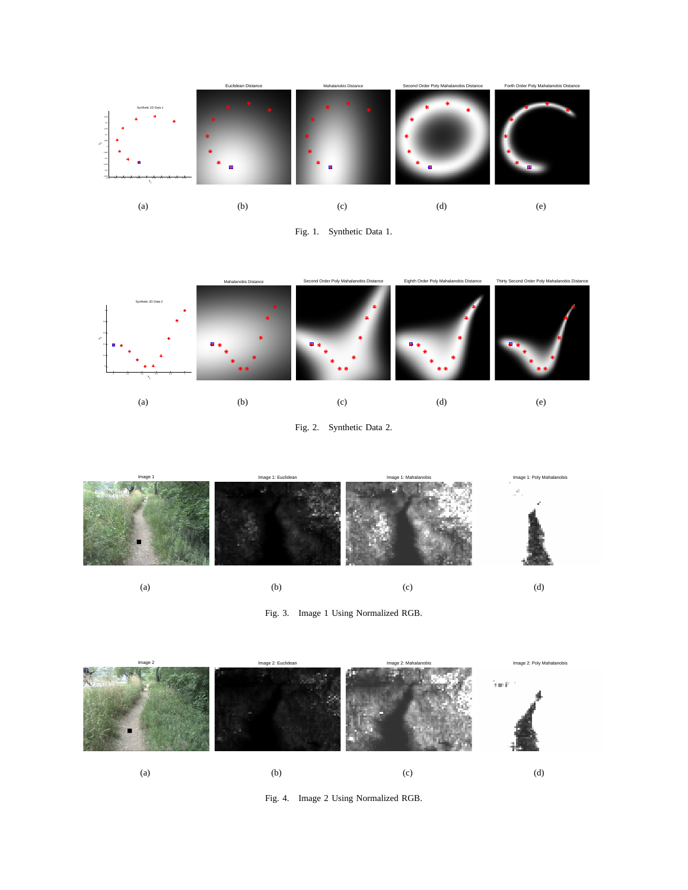

Fig. 1. Synthetic Data 1.



Fig. 2. Synthetic Data 2.



Fig. 3. Image 1 Using Normalized RGB.



Fig. 4. Image 2 Using Normalized RGB.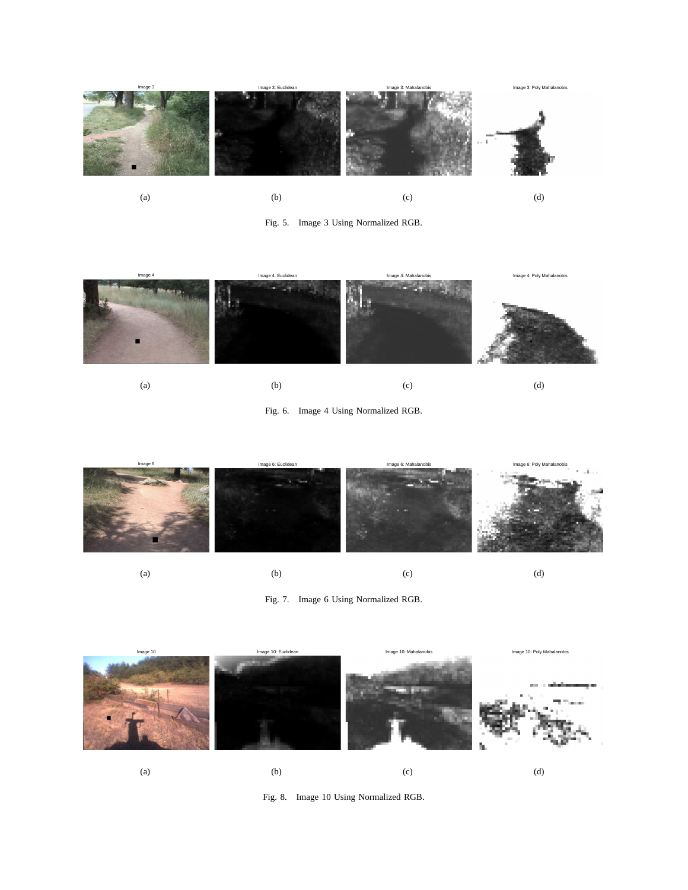





Fig. 6. Image 4 Using Normalized RGB.



(a)

Fig. 7. Image 6 Using Normalized RGB.



Fig. 8. Image 10 Using Normalized RGB.